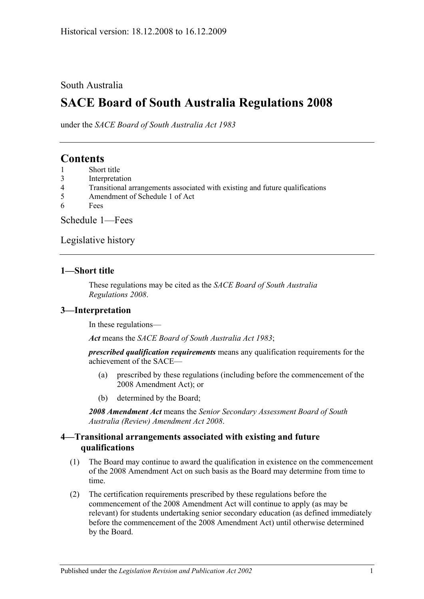## South Australia

# **SACE Board of South Australia Regulations 2008**

under the *SACE Board of South Australia Act 1983*

## **Contents**

- 1 [Short title](#page-0-0)
- 3 [Interpretation](#page-0-1)
- 4 [Transitional arrangements associated with existing and future qualifications](#page-0-2)
- 5 [Amendment of Schedule 1 of Act](#page-1-0)
- 6 [Fees](#page-1-1)

[Schedule 1—Fees](#page-1-2)

[Legislative history](#page-3-0)

## <span id="page-0-0"></span>**1—Short title**

These regulations may be cited as the *SACE Board of South Australia Regulations 2008*.

## <span id="page-0-1"></span>**3—Interpretation**

In these regulations—

*Act* means the *[SACE Board of South Australia Act](http://www.legislation.sa.gov.au/index.aspx?action=legref&type=act&legtitle=SACE%20Board%20of%20South%20Australia%20Act%201983) 1983*;

*prescribed qualification requirements* means any qualification requirements for the achievement of the SACE—

- (a) prescribed by these regulations (including before the commencement of the 2008 Amendment Act); or
- (b) determined by the Board;

*2008 Amendment Act* means the *[Senior Secondary Assessment Board of South](http://www.legislation.sa.gov.au/index.aspx?action=legref&type=act&legtitle=Senior%20Secondary%20Assessment%20Board%20of%20South%20Australia%20(Review)%20Amendment%20Act%202008)  [Australia \(Review\) Amendment Act](http://www.legislation.sa.gov.au/index.aspx?action=legref&type=act&legtitle=Senior%20Secondary%20Assessment%20Board%20of%20South%20Australia%20(Review)%20Amendment%20Act%202008) 2008*.

## <span id="page-0-2"></span>**4—Transitional arrangements associated with existing and future qualifications**

- (1) The Board may continue to award the qualification in existence on the commencement of the 2008 Amendment Act on such basis as the Board may determine from time to time.
- (2) The certification requirements prescribed by these regulations before the commencement of the 2008 Amendment Act will continue to apply (as may be relevant) for students undertaking senior secondary education (as defined immediately before the commencement of the 2008 Amendment Act) until otherwise determined by the Board.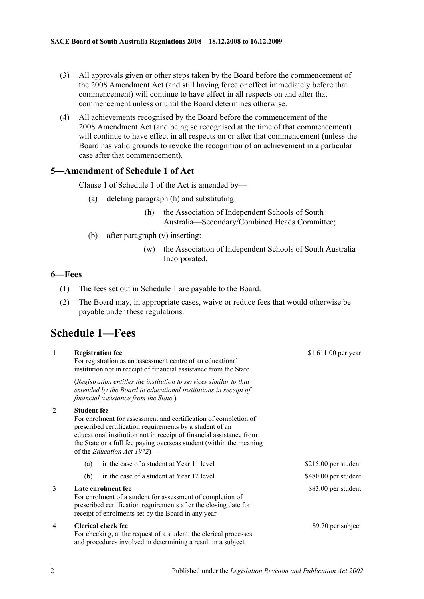- (3) All approvals given or other steps taken by the Board before the commencement of the 2008 Amendment Act (and still having force or effect immediately before that commencement) will continue to have effect in all respects on and after that commencement unless or until the Board determines otherwise.
- (4) All achievements recognised by the Board before the commencement of the 2008 Amendment Act (and being so recognised at the time of that commencement) will continue to have effect in all respects on or after that commencement (unless the Board has valid grounds to revoke the recognition of an achievement in a particular case after that commencement).

#### <span id="page-1-0"></span>**5—Amendment of Schedule 1 of Act**

Clause 1 of Schedule 1 of the Act is amended by—

- (a) deleting paragraph (h) and substituting:
	- (h) the Association of Independent Schools of South Australia—Secondary/Combined Heads Committee;
- (b) after paragraph (v) inserting:
	- (w) the Association of Independent Schools of South Australia Incorporated.

#### <span id="page-1-1"></span>**6—Fees**

- (1) The fees set out in [Schedule 1](#page-1-2) are payable to the Board.
- (2) The Board may, in appropriate cases, waive or reduce fees that would otherwise be payable under these regulations.

## <span id="page-1-2"></span>**Schedule 1—Fees**

| $\mathbf{1}$   | <b>Registration fee</b><br>For registration as an assessment centre of an educational<br>institution not in receipt of financial assistance from the State                                                                                                                                                                     | \$1 611.00 per year   |
|----------------|--------------------------------------------------------------------------------------------------------------------------------------------------------------------------------------------------------------------------------------------------------------------------------------------------------------------------------|-----------------------|
|                | (Registration entitles the institution to services similar to that<br>extended by the Board to educational institutions in receipt of<br>financial assistance from the State.)                                                                                                                                                 |                       |
| $\overline{2}$ | <b>Student fee</b><br>For enrolment for assessment and certification of completion of<br>prescribed certification requirements by a student of an<br>educational institution not in receipt of financial assistance from<br>the State or a full fee paying overseas student (within the meaning<br>of the Education Act 1972)— |                       |
|                | in the case of a student at Year 11 level<br>(a)                                                                                                                                                                                                                                                                               | $$215.00$ per student |
|                | in the case of a student at Year 12 level<br>(b)                                                                                                                                                                                                                                                                               | \$480.00 per student  |
| 3              | Late enrolment fee<br>For enrolment of a student for assessment of completion of<br>prescribed certification requirements after the closing date for<br>receipt of enrolments set by the Board in any year                                                                                                                     | \$83.00 per student   |
| 4              | <b>Clerical check fee</b><br>For checking, at the request of a student, the clerical processes<br>and procedures involved in determining a result in a subject                                                                                                                                                                 | \$9.70 per subject    |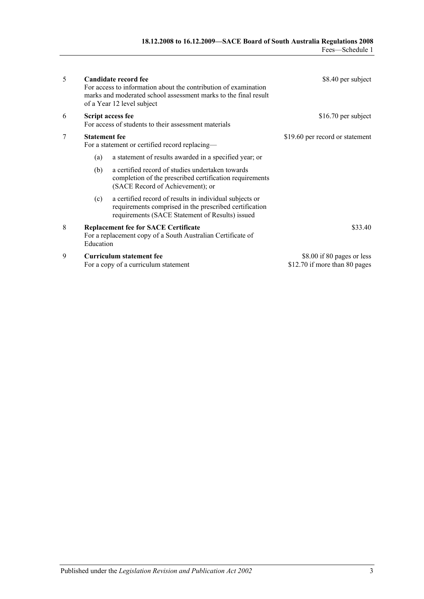| 5 |                                                                                                                         | Candidate record fee<br>For access to information about the contribution of examination<br>marks and moderated school assessment marks to the final result<br>of a Year 12 level subject | \$8.40 per subject                                          |
|---|-------------------------------------------------------------------------------------------------------------------------|------------------------------------------------------------------------------------------------------------------------------------------------------------------------------------------|-------------------------------------------------------------|
| 6 | <b>Script access fee</b><br>For access of students to their assessment materials                                        |                                                                                                                                                                                          | \$16.70 per subject                                         |
| 7 | <b>Statement fee</b><br>For a statement or certified record replacing—                                                  |                                                                                                                                                                                          | \$19.60 per record or statement                             |
|   | (a)                                                                                                                     | a statement of results awarded in a specified year; or                                                                                                                                   |                                                             |
|   | (b)                                                                                                                     | a certified record of studies undertaken towards<br>completion of the prescribed certification requirements<br>(SACE Record of Achievement); or                                          |                                                             |
|   | (c)                                                                                                                     | a certified record of results in individual subjects or<br>requirements comprised in the prescribed certification<br>requirements (SACE Statement of Results) issued                     |                                                             |
| 8 | <b>Replacement fee for SACE Certificate</b><br>For a replacement copy of a South Australian Certificate of<br>Education |                                                                                                                                                                                          | \$33.40                                                     |
| 9 |                                                                                                                         | <b>Curriculum statement fee</b><br>For a copy of a curriculum statement                                                                                                                  | \$8.00 if 80 pages or less<br>\$12.70 if more than 80 pages |